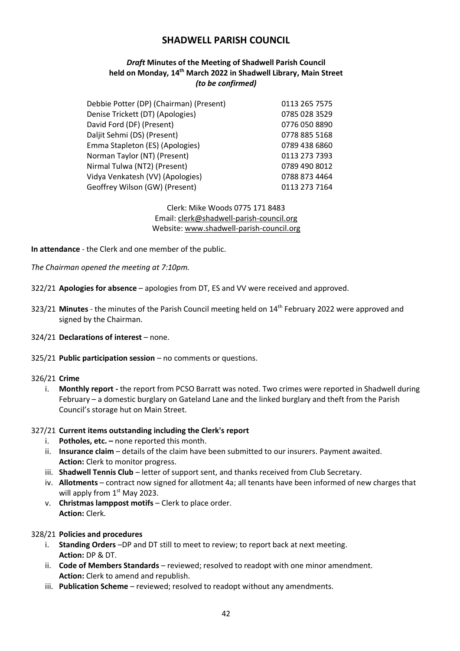# **SHADWELL PARISH COUNCIL**

# *Draft* **Minutes of the Meeting of Shadwell Parish Council held on Monday, 14 th March 2022 in Shadwell Library, Main Street** *(to be confirmed)*

| 0113 265 7575 |
|---------------|
|               |
| 0785 028 3529 |
| 0776 050 8890 |
| 0778 885 5168 |
| 0789 438 6860 |
| 0113 273 7393 |
| 0789 490 8012 |
| 0788 873 4464 |
| 0113 273 7164 |
|               |

Clerk: Mike Woods 0775 171 8483 Email: clerk@shadwell-parish-council.org Website: www.shadwell-parish-council.org

**In attendance** - the Clerk and one member of the public.

*The Chairman opened the meeting at 7:10pm.*

- 322/21 **Apologies for absence** apologies from DT, ES and VV were received and approved.
- 323/21 **Minutes** the minutes of the Parish Council meeting held on 14 th February 2022 were approved and signed by the Chairman.
- 324/21 **Declarations of interest** none.
- 325/21 **Public participation session** no comments or questions.

#### 326/21 **Crime**

i. **Monthly report -** the report from PCSO Barratt was noted. Two crimes were reported in Shadwell during February – a domestic burglary on Gateland Lane and the linked burglary and theft from the Parish Council's storage hut on Main Street.

#### 327/21 **Current items outstanding including the Clerk's report**

- i. **Potholes, etc. –** none reported this month.
- ii. **Insurance claim** details of the claim have been submitted to our insurers. Payment awaited. **Action:** Clerk to monitor progress.
- iii. **Shadwell Tennis Club**  letter of support sent, and thanks received from Club Secretary.
- iv. **Allotments**  contract now signed for allotment 4a; all tenants have been informed of new charges that will apply from  $1<sup>st</sup>$  May 2023.
- v. **Christmas lamppost motifs** Clerk to place order. **Action:** Clerk.

# 328/21 **Policies and procedures**

- i. **Standing Orders** –DP and DT still to meet to review; to report back at next meeting. **Action:** DP & DT.
- ii. **Code of Members Standards** reviewed; resolved to readopt with one minor amendment. **Action:** Clerk to amend and republish.
- iii. **Publication Scheme** reviewed; resolved to readopt without any amendments.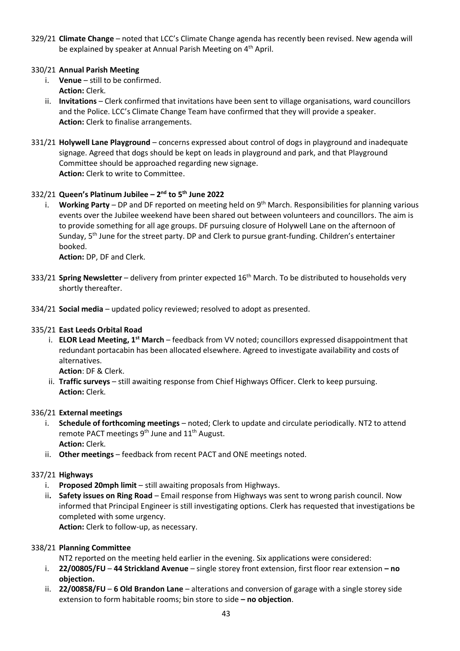329/21 **Climate Change** – noted that LCC's Climate Change agenda has recently been revised. New agenda will be explained by speaker at Annual Parish Meeting on 4<sup>th</sup> April.

# 330/21 **Annual Parish Meeting**

- i. **Venue** still to be confirmed. **Action:** Clerk.
- ii. **Invitations** Clerk confirmed that invitations have been sent to village organisations, ward councillors and the Police. LCC's Climate Change Team have confirmed that they will provide a speaker. **Action:** Clerk to finalise arrangements.
- 331/21 **Holywell Lane Playground**  concerns expressed about control of dogs in playground and inadequate signage. Agreed that dogs should be kept on leads in playground and park, and that Playground Committee should be approached regarding new signage. **Action:** Clerk to write to Committee.

# 332/21 **Queen's Platinum Jubilee – 2 nd to 5th June 2022**

i. **Working Party** – DP and DF reported on meeting held on 9th March. Responsibilities for planning various events over the Jubilee weekend have been shared out between volunteers and councillors. The aim is to provide something for all age groups. DF pursuing closure of Holywell Lane on the afternoon of Sunday,  $5<sup>th</sup>$  June for the street party. DP and Clerk to pursue grant-funding. Children's entertainer booked.

**Action:** DP, DF and Clerk.

- 333/21 **Spring Newsletter** delivery from printer expected 16th March. To be distributed to households very shortly thereafter.
- 334/21 **Social media** updated policy reviewed; resolved to adopt as presented.

#### 335/21 **East Leeds Orbital Road**

i. **ELOR Lead Meeting, 1st March** – feedback from VV noted; councillors expressed disappointment that redundant portacabin has been allocated elsewhere. Agreed to investigate availability and costs of alternatives.

**Action**: DF & Clerk.

ii. **Traffic surveys** – still awaiting response from Chief Highways Officer. Clerk to keep pursuing. **Action:** Clerk.

#### 336/21 **External meetings**

- i. **Schedule of forthcoming meetings** noted; Clerk to update and circulate periodically. NT2 to attend remote PACT meetings 9<sup>th</sup> June and 11<sup>th</sup> August. **Action:** Clerk.
- ii. **Other meetings** feedback from recent PACT and ONE meetings noted.

#### 337/21 **Highways**

- i. **Proposed 20mph limit** still awaiting proposals from Highways.
- ii**. Safety issues on Ring Road** Email response from Highways was sent to wrong parish council. Now informed that Principal Engineer is still investigating options. Clerk has requested that investigations be completed with some urgency.

**Action:** Clerk to follow-up, as necessary.

#### 338/21 **Planning Committee**

NT2 reported on the meeting held earlier in the evening. Six applications were considered:

- i. **22/00805/FU 44 Strickland Avenue**  single storey front extension, first floor rear extension **– no objection.**
- ii. **22/00858/FU 6 Old Brandon Lane** alterations and conversion of garage with a single storey side extension to form habitable rooms; bin store to side **– no objection**.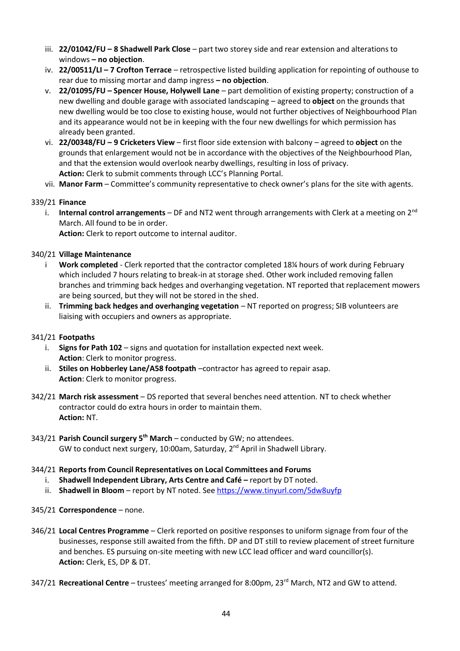- iii. **22/01042/FU – 8 Shadwell Park Close** part two storey side and rear extension and alterations to windows **– no objection**.
- iv. **22/00511/LI – 7 Crofton Terrace** retrospective listed building application for repointing of outhouse to rear due to missing mortar and damp ingress **– no objection**.
- v. **22/01095/FU – Spencer House, Holywell Lane** part demolition of existing property; construction of a new dwelling and double garage with associated landscaping – agreed to **object** on the grounds that new dwelling would be too close to existing house, would not further objectives of Neighbourhood Plan and its appearance would not be in keeping with the four new dwellings for which permission has already been granted.
- vi. **22/00348/FU – 9 Cricketers View** first floor side extension with balcony agreed to **object** on the grounds that enlargement would not be in accordance with the objectives of the Neighbourhood Plan, and that the extension would overlook nearby dwellings, resulting in loss of privacy. **Action:** Clerk to submit comments through LCC's Planning Portal.
- vii. **Manor Farm** Committee's community representative to check owner's plans for the site with agents.

#### 339/21 **Finance**

i. **Internal control arrangements** – DF and NT2 went through arrangements with Clerk at a meeting on 2<sup>nd</sup> March. All found to be in order.

**Action:** Clerk to report outcome to internal auditor.

#### 340/21 **Village Maintenance**

- Work completed Clerk reported that the contractor completed 18¼ hours of work during February which included 7 hours relating to break-in at storage shed. Other work included removing fallen branches and trimming back hedges and overhanging vegetation. NT reported that replacement mowers are being sourced, but they will not be stored in the shed.
- ii. **Trimming back hedges and overhanging vegetation** NT reported on progress; SIB volunteers are liaising with occupiers and owners as appropriate.

#### 341/21 **Footpaths**

- i. **Signs for Path 102** signs and quotation for installation expected next week. **Action**: Clerk to monitor progress.
- ii. **Stiles on Hobberley Lane/A58 footpath** –contractor has agreed to repair asap. **Action**: Clerk to monitor progress.
- 342/21 **March risk assessment**  DS reported that several benches need attention. NT to check whether contractor could do extra hours in order to maintain them. **Action:** NT.
- 343/21 **Parish Council surgery 5 th March** conducted by GW; no attendees. GW to conduct next surgery, 10:00am, Saturday, 2<sup>nd</sup> April in Shadwell Library.

#### 344/21 **Reports from Council Representatives on Local Committees and Forums**

- i. Shadwell Independent Library, Arts Centre and Café report by DT noted.
- ii. **Shadwell in Bloom** report by NT noted. See <https://www.tinyurl.com/5dw8uyfp>
- 345/21 **Correspondence** none.
- 346/21 **Local Centres Programme**  Clerk reported on positive responses to uniform signage from four of the businesses, response still awaited from the fifth. DP and DT still to review placement of street furniture and benches. ES pursuing on-site meeting with new LCC lead officer and ward councillor(s). **Action:** Clerk, ES, DP & DT.
- 347/21 **Recreational Centre** trustees' meeting arranged for 8:00pm, 23rd March, NT2 and GW to attend.